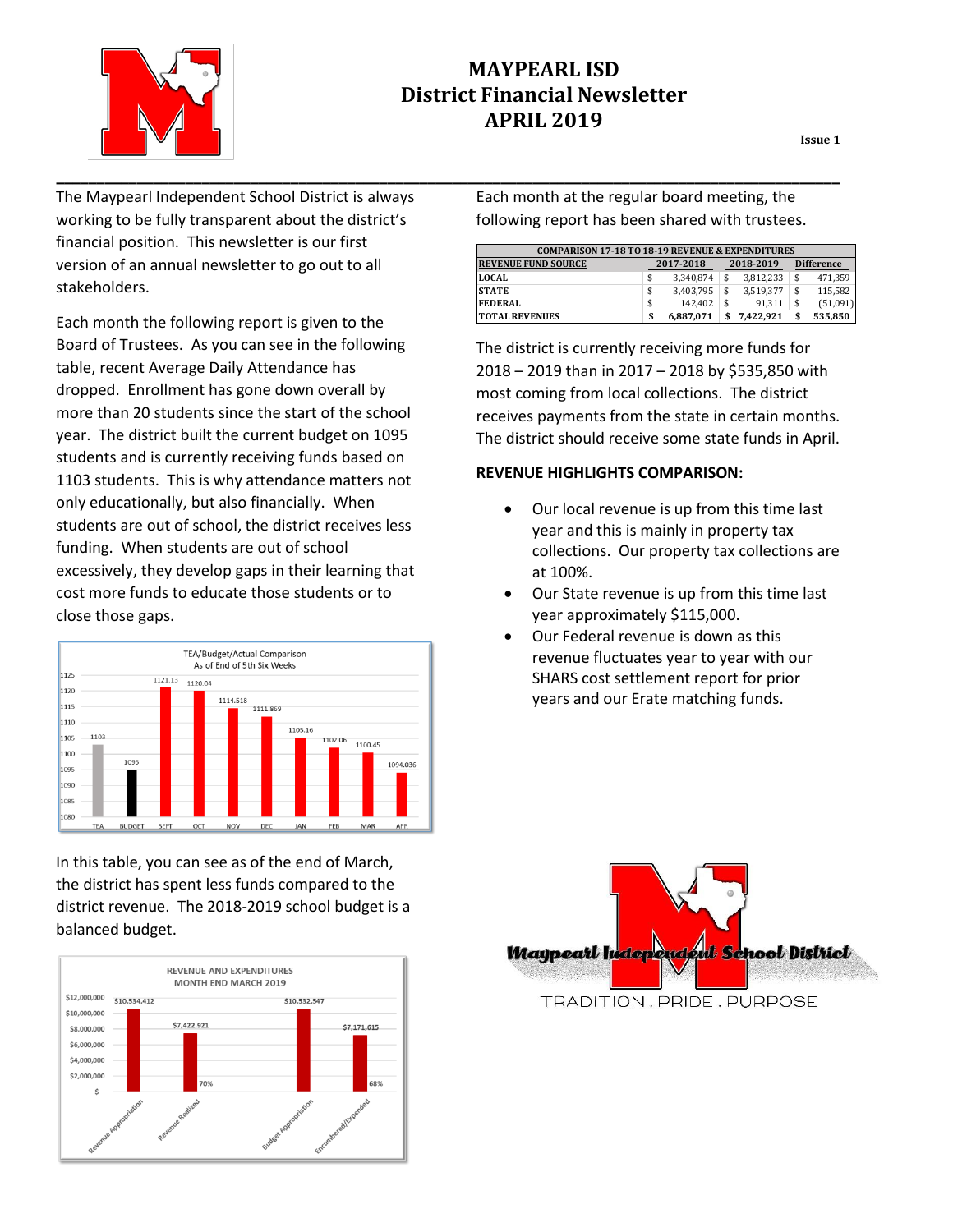

# **MAYPEARL ISD District Financial Newsletter APRIL 2019**

**Issue 1**

The Maypearl Independent School District is always working to be fully transparent about the district's financial position. This newsletter is our first version of an annual newsletter to go out to all stakeholders.

Each month the following report is given to the Board of Trustees. As you can see in the following table, recent Average Daily Attendance has dropped. Enrollment has gone down overall by more than 20 students since the start of the school year. The district built the current budget on 1095 students and is currently receiving funds based on 1103 students. This is why attendance matters not only educationally, but also financially. When students are out of school, the district receives less funding. When students are out of school excessively, they develop gaps in their learning that cost more funds to educate those students or to close those gaps.



In this table, you can see as of the end of March, the district has spent less funds compared to the district revenue. The 2018-2019 school budget is a balanced budget.



Each month at the regular board meeting, the following report has been shared with trustees.

| <b>COMPARISON 17-18 TO 18-19 REVENUE &amp; EXPENDITURES</b> |    |           |    |           |  |                   |  |
|-------------------------------------------------------------|----|-----------|----|-----------|--|-------------------|--|
| <b>REVENUE FUND SOURCE</b>                                  |    | 2017-2018 |    | 2018-2019 |  | <b>Difference</b> |  |
| <b>LOCAL</b>                                                | \$ | 3.340.874 |    | 3.812.233 |  | 471.359           |  |
| <b>STATE</b>                                                | \$ | 3,403,795 |    | 3.519.377 |  | 115.582           |  |
| <b>FEDERAL</b>                                              | \$ | 142.402   | \$ | 91.311    |  | (51,091)          |  |
| <b>TOTAL REVENUES</b>                                       |    | 6.887.071 |    | 7.422.921 |  | 535,850           |  |

The district is currently receiving more funds for 2018 – 2019 than in 2017 – 2018 by \$535,850 with most coming from local collections. The district receives payments from the state in certain months. The district should receive some state funds in April.

#### **REVENUE HIGHLIGHTS COMPARISON:**

- Our local revenue is up from this time last year and this is mainly in property tax collections. Our property tax collections are at 100%.
- Our State revenue is up from this time last year approximately \$115,000.
- Our Federal revenue is down as this revenue fluctuates year to year with our SHARS cost settlement report for prior years and our Erate matching funds.